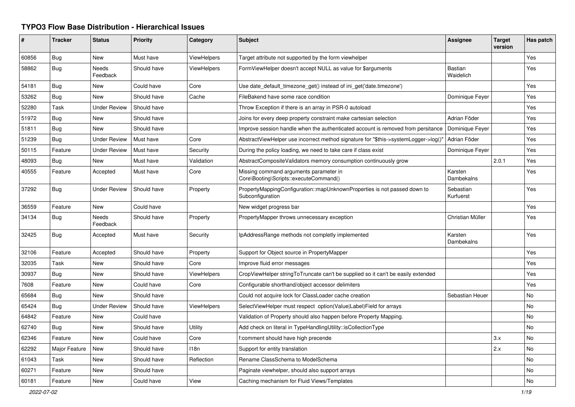## **TYPO3 Flow Base Distribution - Hierarchical Issues**

| #     | <b>Tracker</b> | <b>Status</b>       | <b>Priority</b> | Category           | <b>Subject</b>                                                                               | <b>Assignee</b>              | <b>Target</b><br>version | Has patch      |
|-------|----------------|---------------------|-----------------|--------------------|----------------------------------------------------------------------------------------------|------------------------------|--------------------------|----------------|
| 60856 | <b>Bug</b>     | New                 | Must have       | <b>ViewHelpers</b> | Target attribute not supported by the form viewhelper                                        |                              |                          | Yes            |
| 58862 | Bug            | Needs<br>Feedback   | Should have     | <b>ViewHelpers</b> | FormViewHelper doesn't accept NULL as value for \$arguments                                  | <b>Bastian</b><br>Waidelich  |                          | Yes            |
| 54181 | <b>Bug</b>     | <b>New</b>          | Could have      | Core               | Use date_default_timezone_get() instead of ini_get('date.timezone')                          |                              |                          | Yes            |
| 53262 | Bug            | New                 | Should have     | Cache              | FileBakend have some race condition                                                          | Dominique Feyer              |                          | Yes            |
| 52280 | Task           | <b>Under Review</b> | Should have     |                    | Throw Exception if there is an array in PSR-0 autoload                                       |                              |                          | Yes            |
| 51972 | Bug            | <b>New</b>          | Should have     |                    | Joins for every deep property constraint make cartesian selection                            | Adrian Föder                 |                          | Yes            |
| 51811 | Bug            | New                 | Should have     |                    | Improve session handle when the authenticated account is removed from persitance             | Dominique Feyer              |                          | Yes            |
| 51239 | Bug            | <b>Under Review</b> | Must have       | Core               | AbstractViewHelper use incorrect method signature for "\$this->systemLogger->log()"          | Adrian Föder                 |                          | Yes            |
| 50115 | Feature        | Under Review        | Must have       | Security           | During the policy loading, we need to take care if class exist                               | Dominique Feyer              |                          | Yes            |
| 48093 | Bug            | New                 | Must have       | Validation         | AbstractCompositeValidators memory consumption continuously grow                             |                              | 2.0.1                    | Yes            |
| 40555 | Feature        | Accepted            | Must have       | Core               | Missing command arguments parameter in<br>Core\Booting\Scripts::executeCommand()             | Karsten<br><b>Dambekalns</b> |                          | Yes            |
| 37292 | <b>Bug</b>     | <b>Under Review</b> | Should have     | Property           | PropertyMappingConfiguration::mapUnknownProperties is not passed down to<br>Subconfiguration | Sebastian<br>Kurfuerst       |                          | Yes            |
| 36559 | Feature        | <b>New</b>          | Could have      |                    | New widget progress bar                                                                      |                              |                          | Yes            |
| 34134 | <b>Bug</b>     | Needs<br>Feedback   | Should have     | Property           | PropertyMapper throws unnecessary exception                                                  | Christian Müller             |                          | Yes            |
| 32425 | Bug            | Accepted            | Must have       | Security           | IpAddressRange methods not completly implemented                                             | Karsten<br>Dambekalns        |                          | Yes            |
| 32106 | Feature        | Accepted            | Should have     | Property           | Support for Object source in PropertyMapper                                                  |                              |                          | Yes            |
| 32035 | Task           | <b>New</b>          | Should have     | Core               | Improve fluid error messages                                                                 |                              |                          | Yes            |
| 30937 | Bug            | <b>New</b>          | Should have     | ViewHelpers        | CropViewHelper stringToTruncate can't be supplied so it can't be easily extended             |                              |                          | Yes            |
| 7608  | Feature        | New                 | Could have      | Core               | Configurable shorthand/object accessor delimiters                                            |                              |                          | Yes            |
| 65684 | <b>Bug</b>     | <b>New</b>          | Should have     |                    | Could not acquire lock for ClassLoader cache creation                                        | Sebastian Heuer              |                          | No             |
| 65424 | <b>Bug</b>     | <b>Under Review</b> | Should have     | <b>ViewHelpers</b> | SelectViewHelper must respect option(Value Label)Field for arrays                            |                              |                          | No             |
| 64842 | Feature        | New                 | Could have      |                    | Validation of Property should also happen before Property Mapping.                           |                              |                          | No             |
| 62740 | Bug            | New                 | Should have     | Utility            | Add check on literal in TypeHandlingUtility::isCollectionType                                |                              |                          | No             |
| 62346 | Feature        | <b>New</b>          | Could have      | Core               | f:comment should have high precende                                                          |                              | 3.x                      | <b>No</b>      |
| 62292 | Major Feature  | New                 | Should have     | 118n               | Support for entity translation                                                               |                              | 2.x                      | No             |
| 61043 | Task           | New                 | Should have     | Reflection         | Rename ClassSchema to ModelSchema                                                            |                              |                          | N <sub>o</sub> |
| 60271 | Feature        | New                 | Should have     |                    | Paginate viewhelper, should also support arrays                                              |                              |                          | No             |
| 60181 | Feature        | New                 | Could have      | View               | Caching mechanism for Fluid Views/Templates                                                  |                              |                          | No             |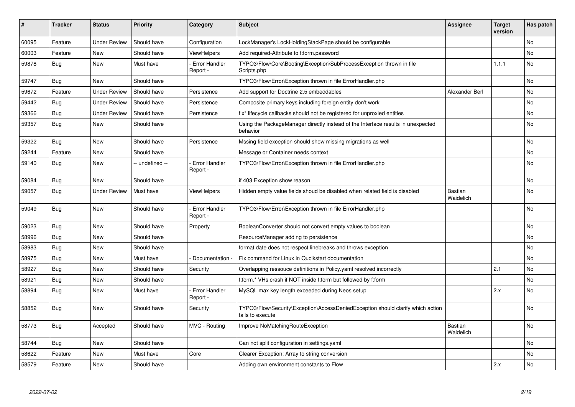| #     | <b>Tracker</b> | <b>Status</b>       | <b>Priority</b> | Category                         | <b>Subject</b>                                                                                      | Assignee                    | <b>Target</b><br>version | Has patch      |
|-------|----------------|---------------------|-----------------|----------------------------------|-----------------------------------------------------------------------------------------------------|-----------------------------|--------------------------|----------------|
| 60095 | Feature        | <b>Under Review</b> | Should have     | Configuration                    | LockManager's LockHoldingStackPage should be configurable                                           |                             |                          | N <sub>o</sub> |
| 60003 | Feature        | New                 | Should have     | <b>ViewHelpers</b>               | Add required-Attribute to f:form.password                                                           |                             |                          | No             |
| 59878 | Bug            | New                 | Must have       | Error Handler<br>Report -        | TYPO3\Flow\Core\Booting\Exception\SubProcessException thrown in file<br>Scripts.php                 |                             | 1.1.1                    | No             |
| 59747 | Bug            | New                 | Should have     |                                  | TYPO3\Flow\Error\Exception thrown in file ErrorHandler.php                                          |                             |                          | No             |
| 59672 | Feature        | Under Review        | Should have     | Persistence                      | Add support for Doctrine 2.5 embeddables                                                            | Alexander Berl              |                          | No             |
| 59442 | <b>Bug</b>     | <b>Under Review</b> | Should have     | Persistence                      | Composite primary keys including foreign entity don't work                                          |                             |                          | No.            |
| 59366 | Bug            | <b>Under Review</b> | Should have     | Persistence                      | fix* lifecycle callbacks should not be registered for unproxied entities                            |                             |                          | No             |
| 59357 | <b>Bug</b>     | <b>New</b>          | Should have     |                                  | Using the PackageManager directly instead of the Interface results in unexpected<br>behavior        |                             |                          | No             |
| 59322 | Bug            | New                 | Should have     | Persistence                      | Mssing field exception should show missing migrations as well                                       |                             |                          | No             |
| 59244 | Feature        | New                 | Should have     |                                  | Message or Container needs context                                                                  |                             |                          | No             |
| 59140 | Bug            | New                 | -- undefined -- | Error Handler<br>Report -        | TYPO3\Flow\Error\Exception thrown in file ErrorHandler.php                                          |                             |                          | No             |
| 59084 | <b>Bug</b>     | New                 | Should have     |                                  | if 403 Exception show reason                                                                        |                             |                          | <b>No</b>      |
| 59057 | <b>Bug</b>     | <b>Under Review</b> | Must have       | <b>ViewHelpers</b>               | Hidden empty value fields shoud be disabled when related field is disabled                          | <b>Bastian</b><br>Waidelich |                          | No             |
| 59049 | <b>Bug</b>     | New                 | Should have     | <b>Error Handler</b><br>Report - | TYPO3\Flow\Error\Exception thrown in file ErrorHandler.php                                          |                             |                          | No             |
| 59023 | Bug            | New                 | Should have     | Property                         | BooleanConverter should not convert empty values to boolean                                         |                             |                          | No             |
| 58996 | <b>Bug</b>     | New                 | Should have     |                                  | ResourceManager adding to persistence                                                               |                             |                          | No             |
| 58983 | <b>Bug</b>     | New                 | Should have     |                                  | format.date does not respect linebreaks and throws exception                                        |                             |                          | No             |
| 58975 | <b>Bug</b>     | New                 | Must have       | Documentation -                  | Fix command for Linux in Qucikstart documentation                                                   |                             |                          | <b>No</b>      |
| 58927 | Bug            | New                 | Should have     | Security                         | Overlapping ressouce definitions in Policy yaml resolved incorrectly                                |                             | 2.1                      | No             |
| 58921 | Bug            | New                 | Should have     |                                  | f:form.* VHs crash if NOT inside f:form but followed by f:form                                      |                             |                          | No             |
| 58894 | <b>Bug</b>     | New                 | Must have       | <b>Error Handler</b><br>Report - | MySQL max key length exceeded during Neos setup                                                     |                             | 2.x                      | No             |
| 58852 | <b>Bug</b>     | New                 | Should have     | Security                         | TYPO3\Flow\Security\Exception\AccessDeniedException should clarify which action<br>fails to execute |                             |                          | No             |
| 58773 | Bug            | Accepted            | Should have     | MVC - Routing                    | Improve NoMatchingRouteException                                                                    | <b>Bastian</b><br>Waidelich |                          | No             |
| 58744 | <b>Bug</b>     | <b>New</b>          | Should have     |                                  | Can not split configuration in settings yaml                                                        |                             |                          | <b>No</b>      |
| 58622 | Feature        | New                 | Must have       | Core                             | Clearer Exception: Array to string conversion                                                       |                             |                          | No             |
| 58579 | Feature        | New                 | Should have     |                                  | Adding own environment constants to Flow                                                            |                             | 2.x                      | No             |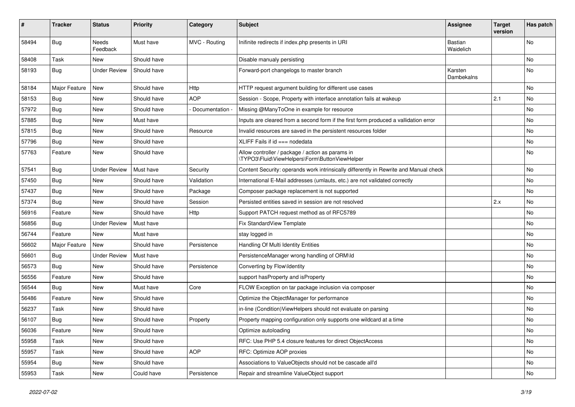| #     | <b>Tracker</b> | <b>Status</b>       | <b>Priority</b> | Category        | Subject                                                                                            | <b>Assignee</b>             | <b>Target</b><br>version | Has patch |
|-------|----------------|---------------------|-----------------|-----------------|----------------------------------------------------------------------------------------------------|-----------------------------|--------------------------|-----------|
| 58494 | Bug            | Needs<br>Feedback   | Must have       | MVC - Routing   | Inifinite redirects if index.php presents in URI                                                   | <b>Bastian</b><br>Waidelich |                          | <b>No</b> |
| 58408 | <b>Task</b>    | New                 | Should have     |                 | Disable manualy persisting                                                                         |                             |                          | <b>No</b> |
| 58193 | Bug            | <b>Under Review</b> | Should have     |                 | Forward-port changelogs to master branch                                                           | Karsten<br>Dambekalns       |                          | No        |
| 58184 | Major Feature  | New                 | Should have     | Http            | HTTP request argument building for different use cases                                             |                             |                          | <b>No</b> |
| 58153 | Bug            | New                 | Should have     | <b>AOP</b>      | Session - Scope, Property with interface annotation fails at wakeup                                |                             | 2.1                      | No        |
| 57972 | <b>Bug</b>     | New                 | Should have     | Documentation - | Missing @ManyToOne in example for resource                                                         |                             |                          | No        |
| 57885 | <b>Bug</b>     | New                 | Must have       |                 | Inputs are cleared from a second form if the first form produced a vallidation error               |                             |                          | No        |
| 57815 | <b>Bug</b>     | New                 | Should have     | Resource        | Invalid resources are saved in the persistent resources folder                                     |                             |                          | No        |
| 57796 | <b>Bug</b>     | New                 | Should have     |                 | XLIFF Fails if $id == node data$                                                                   |                             |                          | No        |
| 57763 | Feature        | New                 | Should have     |                 | Allow controller / package / action as params in<br>\TYPO3\Fluid\ViewHelpers\Form\ButtonViewHelper |                             |                          | No        |
| 57541 | Bug            | <b>Under Review</b> | Must have       | Security        | Content Security: operands work intrinsically differently in Rewrite and Manual check              |                             |                          | <b>No</b> |
| 57450 | <b>Bug</b>     | New                 | Should have     | Validation      | International E-Mail addresses (umlauts, etc.) are not validated correctly                         |                             |                          | No        |
| 57437 | <b>Bug</b>     | New                 | Should have     | Package         | Composer package replacement is not supported                                                      |                             |                          | No        |
| 57374 | Bug            | New                 | Should have     | Session         | Persisted entities saved in session are not resolved                                               |                             | 2.x                      | No        |
| 56916 | Feature        | New                 | Should have     | <b>Http</b>     | Support PATCH request method as of RFC5789                                                         |                             |                          | <b>No</b> |
| 56856 | Bug            | <b>Under Review</b> | Must have       |                 | Fix StandardView Template                                                                          |                             |                          | No        |
| 56744 | Feature        | New                 | Must have       |                 | stay logged in                                                                                     |                             |                          | No        |
| 56602 | Major Feature  | New                 | Should have     | Persistence     | Handling Of Multi Identity Entities                                                                |                             |                          | No        |
| 56601 | Bug            | <b>Under Review</b> | Must have       |                 | PersistenceManager wrong handling of ORM\ld                                                        |                             |                          | No        |
| 56573 | Bug            | New                 | Should have     | Persistence     | Converting by Flow\Identity                                                                        |                             |                          | <b>No</b> |
| 56556 | Feature        | New                 | Should have     |                 | support hasProperty and isProperty                                                                 |                             |                          | No        |
| 56544 | <b>Bug</b>     | New                 | Must have       | Core            | FLOW Exception on tar package inclusion via composer                                               |                             |                          | No        |
| 56486 | Feature        | New                 | Should have     |                 | Optimize the ObjectManager for performance                                                         |                             |                          | No        |
| 56237 | Task           | New                 | Should have     |                 | in-line (Condition) ViewHelpers should not evaluate on parsing                                     |                             |                          | <b>No</b> |
| 56107 | <b>Bug</b>     | New                 | Should have     | Property        | Property mapping configuration only supports one wildcard at a time                                |                             |                          | No        |
| 56036 | Feature        | New                 | Should have     |                 | Optimize autoloading                                                                               |                             |                          | No        |
| 55958 | Task           | New                 | Should have     |                 | RFC: Use PHP 5.4 closure features for direct ObjectAccess                                          |                             |                          | No        |
| 55957 | Task           | New                 | Should have     | <b>AOP</b>      | RFC: Optimize AOP proxies                                                                          |                             |                          | No        |
| 55954 | <b>Bug</b>     | New                 | Should have     |                 | Associations to ValueObjects should not be cascade all'd                                           |                             |                          | No        |
| 55953 | Task           | New                 | Could have      | Persistence     | Repair and streamline ValueObject support                                                          |                             |                          | No        |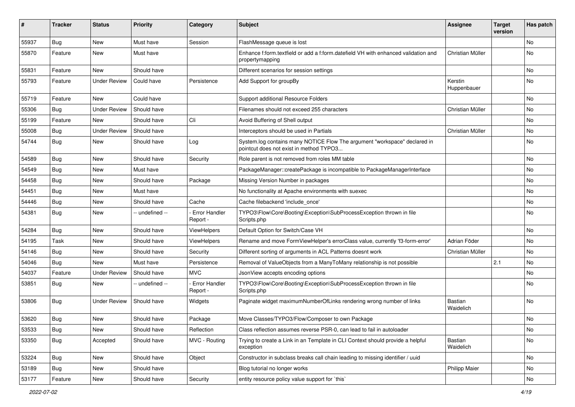| #     | <b>Tracker</b> | <b>Status</b>       | <b>Priority</b> | Category                         | Subject                                                                                                              | <b>Assignee</b>             | <b>Target</b><br>version | Has patch |
|-------|----------------|---------------------|-----------------|----------------------------------|----------------------------------------------------------------------------------------------------------------------|-----------------------------|--------------------------|-----------|
| 55937 | Bug            | New                 | Must have       | Session                          | FlashMessage queue is lost                                                                                           |                             |                          | No        |
| 55870 | Feature        | New                 | Must have       |                                  | Enhance f:form.textfield or add a f:form.datefield VH with enhanced validation and<br>propertymapping                | Christian Müller            |                          | No        |
| 55831 | Feature        | <b>New</b>          | Should have     |                                  | Different scenarios for session settings                                                                             |                             |                          | No        |
| 55793 | Feature        | <b>Under Review</b> | Could have      | Persistence                      | Add Support for groupBy                                                                                              | Kerstin<br>Huppenbauer      |                          | No        |
| 55719 | Feature        | <b>New</b>          | Could have      |                                  | Support additional Resource Folders                                                                                  |                             |                          | No        |
| 55306 | <b>Bug</b>     | <b>Under Review</b> | Should have     |                                  | Filenames should not exceed 255 characters                                                                           | Christian Müller            |                          | No        |
| 55199 | Feature        | New                 | Should have     | Cli                              | Avoid Buffering of Shell output                                                                                      |                             |                          | No        |
| 55008 | <b>Bug</b>     | <b>Under Review</b> | Should have     |                                  | Interceptors should be used in Partials                                                                              | Christian Müller            |                          | No.       |
| 54744 | <b>Bug</b>     | New                 | Should have     | Log                              | System.log contains many NOTICE Flow The argument "workspace" declared in<br>pointcut does not exist in method TYPO3 |                             |                          | No        |
| 54589 | Bug            | New                 | Should have     | Security                         | Role parent is not removed from roles MM table                                                                       |                             |                          | No        |
| 54549 | Bug            | New                 | Must have       |                                  | PackageManager::createPackage is incompatible to PackageManagerInterface                                             |                             |                          | No        |
| 54458 | <b>Bug</b>     | New                 | Should have     | Package                          | Missing Version Number in packages                                                                                   |                             |                          | No        |
| 54451 | <b>Bug</b>     | New                 | Must have       |                                  | No functionality at Apache environments with suexec                                                                  |                             |                          | No        |
| 54446 | Bug            | New                 | Should have     | Cache                            | Cache filebackend 'include once'                                                                                     |                             |                          | No        |
| 54381 | <b>Bug</b>     | New                 | - undefined --  | Error Handler<br>Report -        | TYPO3\Flow\Core\Booting\Exception\SubProcessException thrown in file<br>Scripts.php                                  |                             |                          | No        |
| 54284 | Bug            | <b>New</b>          | Should have     | ViewHelpers                      | Default Option for Switch/Case VH                                                                                    |                             |                          | No        |
| 54195 | Task           | New                 | Should have     | <b>ViewHelpers</b>               | Rename and move FormViewHelper's errorClass value, currently 'f3-form-error'                                         | Adrian Föder                |                          | No        |
| 54146 | <b>Bug</b>     | <b>New</b>          | Should have     | Security                         | Different sorting of arguments in ACL Patterns doesnt work                                                           | Christian Müller            |                          | No        |
| 54046 | Bug            | New                 | Must have       | Persistence                      | Removal of ValueObjects from a ManyToMany relationship is not possible                                               |                             | 2.1                      | No        |
| 54037 | Feature        | <b>Under Review</b> | Should have     | <b>MVC</b>                       | JsonView accepts encoding options                                                                                    |                             |                          | No        |
| 53851 | Bug            | New                 | - undefined --  | <b>Error Handler</b><br>Report - | TYPO3\Flow\Core\Booting\Exception\SubProcessException thrown in file<br>Scripts.php                                  |                             |                          | No        |
| 53806 | <b>Bug</b>     | <b>Under Review</b> | Should have     | Widgets                          | Paginate widget maximumNumberOfLinks rendering wrong number of links                                                 | <b>Bastian</b><br>Waidelich |                          | No        |
| 53620 | <b>Bug</b>     | New                 | Should have     | Package                          | Move Classes/TYPO3/Flow/Composer to own Package                                                                      |                             |                          | No        |
| 53533 | <b>Bug</b>     | New                 | Should have     | Reflection                       | Class reflection assumes reverse PSR-0, can lead to fail in autoloader                                               |                             |                          | No        |
| 53350 | Bug            | Accepted            | Should have     | MVC - Routing                    | Trying to create a Link in an Template in CLI Context should provide a helpful<br>exception                          | Bastian<br>Waidelich        |                          | No        |
| 53224 | Bug            | New                 | Should have     | Object                           | Constructor in subclass breaks call chain leading to missing identifier / uuid                                       |                             |                          | No        |
| 53189 | <b>Bug</b>     | New                 | Should have     |                                  | Blog tutorial no longer works                                                                                        | <b>Philipp Maier</b>        |                          | No        |
| 53177 | Feature        | New                 | Should have     | Security                         | entity resource policy value support for `this`                                                                      |                             |                          | No        |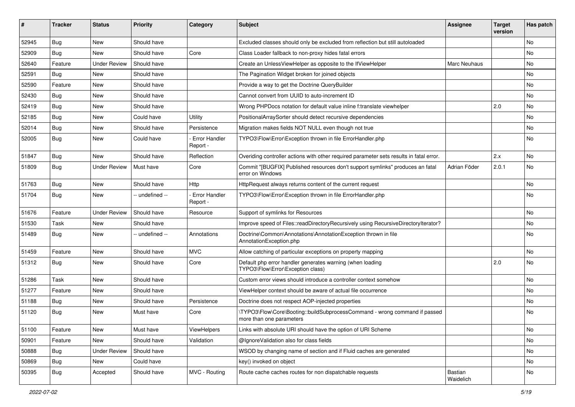| #     | <b>Tracker</b> | <b>Status</b>       | <b>Priority</b> | Category                         | Subject                                                                                                | <b>Assignee</b>      | <b>Target</b><br>version | Has patch |
|-------|----------------|---------------------|-----------------|----------------------------------|--------------------------------------------------------------------------------------------------------|----------------------|--------------------------|-----------|
| 52945 | Bug            | New                 | Should have     |                                  | Excluded classes should only be excluded from reflection but still autoloaded                          |                      |                          | <b>No</b> |
| 52909 | Bug            | New                 | Should have     | Core                             | Class Loader fallback to non-proxy hides fatal errors                                                  |                      |                          | <b>No</b> |
| 52640 | Feature        | <b>Under Review</b> | Should have     |                                  | Create an UnlessViewHelper as opposite to the IfViewHelper                                             | Marc Neuhaus         |                          | No        |
| 52591 | Bug            | <b>New</b>          | Should have     |                                  | The Pagination Widget broken for joined objects                                                        |                      |                          | No        |
| 52590 | Feature        | New                 | Should have     |                                  | Provide a way to get the Doctrine QueryBuilder                                                         |                      |                          | No        |
| 52430 | Bug            | New                 | Should have     |                                  | Cannot convert from UUID to auto-increment ID                                                          |                      |                          | <b>No</b> |
| 52419 | Bug            | New                 | Should have     |                                  | Wrong PHPDocs notation for default value inline f:translate viewhelper                                 |                      | 2.0                      | <b>No</b> |
| 52185 | Bug            | New                 | Could have      | Utility                          | PositionalArraySorter should detect recursive dependencies                                             |                      |                          | No        |
| 52014 | Bug            | <b>New</b>          | Should have     | Persistence                      | Migration makes fields NOT NULL even though not true                                                   |                      |                          | No        |
| 52005 | Bug            | New                 | Could have      | <b>Error Handler</b><br>Report - | TYPO3\Flow\Error\Exception thrown in file ErrorHandler.php                                             |                      |                          | No        |
| 51847 | Bug            | New                 | Should have     | Reflection                       | Overiding controller actions with other required parameter sets results in fatal error.                |                      | 2.x                      | No        |
| 51809 | Bug            | <b>Under Review</b> | Must have       | Core                             | Commit "[BUGFIX] Published resources don't support symlinks" produces an fatal<br>error on Windows     | Adrian Föder         | 2.0.1                    | <b>No</b> |
| 51763 | Bug            | New                 | Should have     | Http                             | HttpRequest always returns content of the current request                                              |                      |                          | <b>No</b> |
| 51704 | Bug            | New                 | -- undefined -- | <b>Error Handler</b><br>Report - | TYPO3\Flow\Error\Exception thrown in file ErrorHandler.php                                             |                      |                          | <b>No</b> |
| 51676 | Feature        | <b>Under Review</b> | Should have     | Resource                         | Support of symlinks for Resources                                                                      |                      |                          | <b>No</b> |
| 51530 | Task           | New                 | Should have     |                                  | Improve speed of Files::readDirectoryRecursively using RecursiveDirectoryIterator?                     |                      |                          | No        |
| 51489 | Bug            | New                 | -- undefined -- | Annotations                      | Doctrine\Common\Annotations\AnnotationException thrown in file<br>AnnotationException.php              |                      |                          | <b>No</b> |
| 51459 | Feature        | <b>New</b>          | Should have     | <b>MVC</b>                       | Allow catching of particular exceptions on property mapping                                            |                      |                          | <b>No</b> |
| 51312 | Bug            | New                 | Should have     | Core                             | Default php error handler generates warning (when loading<br>TYPO3\Flow\Error\Exception class)         |                      | 2.0                      | No        |
| 51286 | Task           | New                 | Should have     |                                  | Custom error views should introduce a controller context somehow                                       |                      |                          | No        |
| 51277 | Feature        | New                 | Should have     |                                  | ViewHelper context should be aware of actual file occurrence                                           |                      |                          | <b>No</b> |
| 51188 | Bug            | New                 | Should have     | Persistence                      | Doctrine does not respect AOP-injected properties                                                      |                      |                          | No        |
| 51120 | Bug            | New                 | Must have       | Core                             | \TYPO3\Flow\Core\Booting::buildSubprocessCommand - wrong command if passed<br>more than one parameters |                      |                          | <b>No</b> |
| 51100 | Feature        | New                 | Must have       | ViewHelpers                      | Links with absolute URI should have the option of URI Scheme                                           |                      |                          | No        |
| 50901 | Feature        | New                 | Should have     | Validation                       | @IgnoreValidation also for class fields                                                                |                      |                          | No        |
| 50888 | Bug            | <b>Under Review</b> | Should have     |                                  | WSOD by changing name of section and if Fluid caches are generated                                     |                      |                          | No        |
| 50869 | Bug            | New                 | Could have      |                                  | key() invoked on object                                                                                |                      |                          | No        |
| 50395 | <b>Bug</b>     | Accepted            | Should have     | MVC - Routing                    | Route cache caches routes for non dispatchable requests                                                | Bastian<br>Waidelich |                          | No        |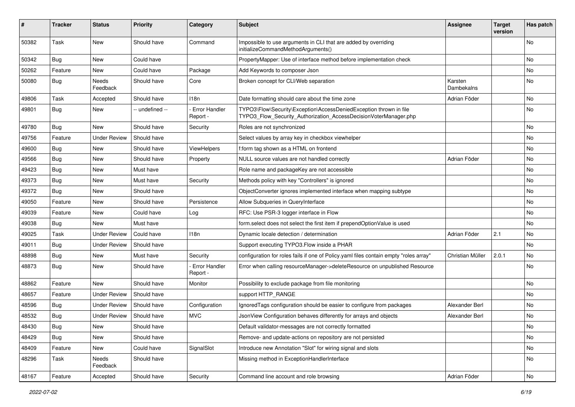| #     | <b>Tracker</b> | <b>Status</b>       | <b>Priority</b> | Category                         | Subject                                                                                                                                | <b>Assignee</b>       | <b>Target</b><br>version | Has patch |
|-------|----------------|---------------------|-----------------|----------------------------------|----------------------------------------------------------------------------------------------------------------------------------------|-----------------------|--------------------------|-----------|
| 50382 | Task           | New                 | Should have     | Command                          | Impossible to use arguments in CLI that are added by overriding<br>initializeCommandMethodArguments()                                  |                       |                          | <b>No</b> |
| 50342 | <b>Bug</b>     | New                 | Could have      |                                  | PropertyMapper: Use of interface method before implementation check                                                                    |                       |                          | <b>No</b> |
| 50262 | Feature        | New                 | Could have      | Package                          | Add Keywords to composer Json                                                                                                          |                       |                          | <b>No</b> |
| 50080 | <b>Bug</b>     | Needs<br>Feedback   | Should have     | Core                             | Broken concept for CLI/Web separation                                                                                                  | Karsten<br>Dambekalns |                          | <b>No</b> |
| 49806 | <b>Task</b>    | Accepted            | Should have     | 118n                             | Date formatting should care about the time zone                                                                                        | Adrian Föder          |                          | No        |
| 49801 | <b>Bug</b>     | New                 | -- undefined -- | <b>Error Handler</b><br>Report - | TYPO3\Flow\Security\Exception\AccessDeniedException thrown in file<br>TYPO3_Flow_Security_Authorization_AccessDecisionVoterManager.php |                       |                          | <b>No</b> |
| 49780 | <b>Bug</b>     | New                 | Should have     | Security                         | Roles are not synchronized                                                                                                             |                       |                          | <b>No</b> |
| 49756 | Feature        | <b>Under Review</b> | Should have     |                                  | Select values by array key in checkbox viewhelper                                                                                      |                       |                          | <b>No</b> |
| 49600 | Bug            | New                 | Should have     | ViewHelpers                      | f:form tag shown as a HTML on frontend                                                                                                 |                       |                          | <b>No</b> |
| 49566 | Bug            | New                 | Should have     | Property                         | NULL source values are not handled correctly                                                                                           | Adrian Föder          |                          | No        |
| 49423 | Bug            | New                 | Must have       |                                  | Role name and packageKey are not accessible                                                                                            |                       |                          | <b>No</b> |
| 49373 | <b>Bug</b>     | New                 | Must have       | Security                         | Methods policy with key "Controllers" is ignored                                                                                       |                       |                          | No        |
| 49372 | <b>Bug</b>     | New                 | Should have     |                                  | ObjectConverter ignores implemented interface when mapping subtype                                                                     |                       |                          | <b>No</b> |
| 49050 | Feature        | New                 | Should have     | Persistence                      | Allow Subqueries in QueryInterface                                                                                                     |                       |                          | No        |
| 49039 | Feature        | New                 | Could have      | Log                              | RFC: Use PSR-3 logger interface in Flow                                                                                                |                       |                          | <b>No</b> |
| 49038 | Bug            | New                 | Must have       |                                  | form select does not select the first item if prependOptionValue is used                                                               |                       |                          | No        |
| 49025 | <b>Task</b>    | <b>Under Review</b> | Could have      | 118n                             | Dynamic locale detection / determination                                                                                               | Adrian Föder          | 2.1                      | No        |
| 49011 | Bug            | <b>Under Review</b> | Should have     |                                  | Support executing TYPO3. Flow inside a PHAR                                                                                            |                       |                          | <b>No</b> |
| 48898 | Bug            | New                 | Must have       | Security                         | configuration for roles fails if one of Policy yaml files contain empty "roles array"                                                  | Christian Müller      | 2.0.1                    | No        |
| 48873 | <b>Bug</b>     | New                 | Should have     | Error Handler<br>Report -        | Error when calling resourceManager->deleteResource on unpublished Resource                                                             |                       |                          | <b>No</b> |
| 48862 | Feature        | New                 | Should have     | Monitor                          | Possibility to exclude package from file monitoring                                                                                    |                       |                          | <b>No</b> |
| 48657 | Feature        | <b>Under Review</b> | Should have     |                                  | support HTTP RANGE                                                                                                                     |                       |                          | No        |
| 48596 | Bug            | <b>Under Review</b> | Should have     | Configuration                    | Ignored Tags configuration should be easier to configure from packages                                                                 | Alexander Berl        |                          | <b>No</b> |
| 48532 | Bug            | Under Review        | Should have     | <b>MVC</b>                       | JsonView Configuration behaves differently for arrays and objects                                                                      | Alexander Berl        |                          | No        |
| 48430 | <b>Bug</b>     | New                 | Should have     |                                  | Default validator-messages are not correctly formatted                                                                                 |                       |                          | No        |
| 48429 | Bug            | New                 | Should have     |                                  | Remove- and update-actions on repository are not persisted                                                                             |                       |                          | No        |
| 48409 | Feature        | New                 | Could have      | SignalSlot                       | Introduce new Annotation "Slot" for wiring signal and slots                                                                            |                       |                          | No        |
| 48296 | Task           | Needs<br>Feedback   | Should have     |                                  | Missing method in ExceptionHandlerInterface                                                                                            |                       |                          | No        |
| 48167 | Feature        | Accepted            | Should have     | Security                         | Command line account and role browsing                                                                                                 | Adrian Föder          |                          | No        |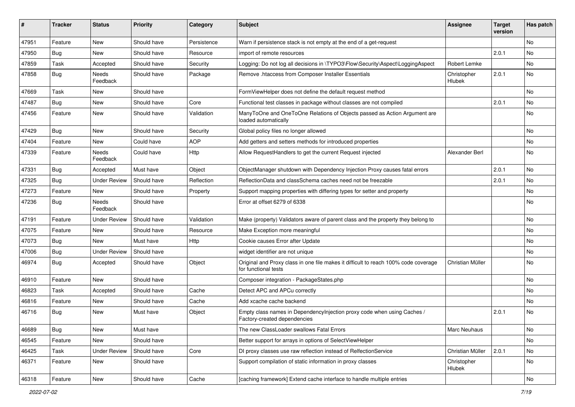| #     | <b>Tracker</b> | <b>Status</b>       | <b>Priority</b> | Category    | Subject                                                                                                     | <b>Assignee</b>       | <b>Target</b><br>version | Has patch |
|-------|----------------|---------------------|-----------------|-------------|-------------------------------------------------------------------------------------------------------------|-----------------------|--------------------------|-----------|
| 47951 | Feature        | <b>New</b>          | Should have     | Persistence | Warn if persistence stack is not empty at the end of a get-request                                          |                       |                          | No        |
| 47950 | Bug            | New                 | Should have     | Resource    | import of remote resources                                                                                  |                       | 2.0.1                    | No        |
| 47859 | Task           | Accepted            | Should have     | Security    | Logging: Do not log all decisions in \TYPO3\Flow\Security\Aspect\LoggingAspect                              | Robert Lemke          |                          | No        |
| 47858 | Bug            | Needs<br>Feedback   | Should have     | Package     | Remove .htaccess from Composer Installer Essentials                                                         | Christopher<br>Hlubek | 2.0.1                    | No.       |
| 47669 | Task           | New                 | Should have     |             | FormViewHelper does not define the default request method                                                   |                       |                          | No        |
| 47487 | Bug            | New                 | Should have     | Core        | Functional test classes in package without classes are not compiled                                         |                       | 2.0.1                    | No        |
| 47456 | Feature        | <b>New</b>          | Should have     | Validation  | ManyToOne and OneToOne Relations of Objects passed as Action Argument are<br>loaded automatically           |                       |                          | No.       |
| 47429 | Bug            | New                 | Should have     | Security    | Global policy files no longer allowed                                                                       |                       |                          | No        |
| 47404 | Feature        | New                 | Could have      | <b>AOP</b>  | Add getters and setters methods for introduced properties                                                   |                       |                          | No        |
| 47339 | Feature        | Needs<br>Feedback   | Could have      | Http        | Allow RequestHandlers to get the current Request injected                                                   | Alexander Berl        |                          | No        |
| 47331 | Bug            | Accepted            | Must have       | Object      | ObjectManager shutdown with Dependency Injection Proxy causes fatal errors                                  |                       | 2.0.1                    | No        |
| 47325 | Bug            | <b>Under Review</b> | Should have     | Reflection  | ReflectionData and classSchema caches need not be freezable                                                 |                       | 2.0.1                    | No        |
| 47273 | Feature        | New                 | Should have     | Property    | Support mapping properties with differing types for setter and property                                     |                       |                          | No        |
| 47236 | Bug            | Needs<br>Feedback   | Should have     |             | Error at offset 6279 of 6338                                                                                |                       |                          | No        |
| 47191 | Feature        | <b>Under Review</b> | Should have     | Validation  | Make (property) Validators aware of parent class and the property they belong to                            |                       |                          | No.       |
| 47075 | Feature        | New                 | Should have     | Resource    | Make Exception more meaningful                                                                              |                       |                          | No        |
| 47073 | Bug            | New                 | Must have       | <b>Http</b> | Cookie causes Error after Update                                                                            |                       |                          | No        |
| 47006 | Bug            | <b>Under Review</b> | Should have     |             | widget identifier are not unique                                                                            |                       |                          | No        |
| 46974 | Bug            | Accepted            | Should have     | Object      | Original and Proxy class in one file makes it difficult to reach 100% code coverage<br>for functional tests | Christian Müller      |                          | No        |
| 46910 | Feature        | New                 | Should have     |             | Composer integration - PackageStates.php                                                                    |                       |                          | No        |
| 46823 | Task           | Accepted            | Should have     | Cache       | Detect APC and APCu correctly                                                                               |                       |                          | No        |
| 46816 | Feature        | New                 | Should have     | Cache       | Add xcache cache backend                                                                                    |                       |                          | No        |
| 46716 | Bug            | New                 | Must have       | Object      | Empty class names in Dependencylnjection proxy code when using Caches /<br>Factory-created dependencies     |                       | 2.0.1                    | No        |
| 46689 | Bug            | <b>New</b>          | Must have       |             | The new ClassLoader swallows Fatal Errors                                                                   | <b>Marc Neuhaus</b>   |                          | No        |
| 46545 | Feature        | New                 | Should have     |             | Better support for arrays in options of SelectViewHelper                                                    |                       |                          | No        |
| 46425 | Task           | <b>Under Review</b> | Should have     | Core        | DI proxy classes use raw reflection instead of RelfectionService                                            | Christian Müller      | 2.0.1                    | No        |
| 46371 | Feature        | New                 | Should have     |             | Support compilation of static information in proxy classes                                                  | Christopher<br>Hlubek |                          | No        |
| 46318 | Feature        | New                 | Should have     | Cache       | [caching framework] Extend cache interface to handle multiple entries                                       |                       |                          | No        |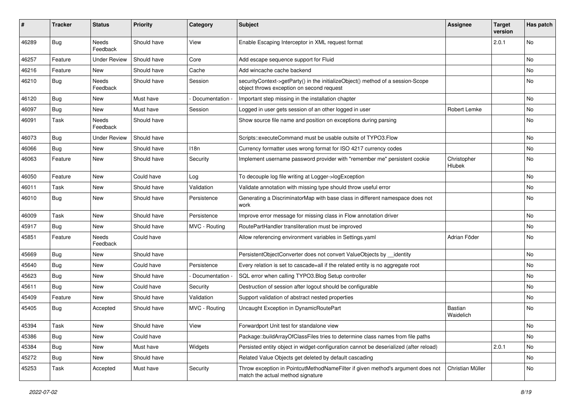| #     | <b>Tracker</b> | <b>Status</b>       | <b>Priority</b> | Category         | Subject                                                                                                                      | <b>Assignee</b>       | <b>Target</b><br>version | Has patch |
|-------|----------------|---------------------|-----------------|------------------|------------------------------------------------------------------------------------------------------------------------------|-----------------------|--------------------------|-----------|
| 46289 | Bug            | Needs<br>Feedback   | Should have     | View             | Enable Escaping Interceptor in XML request format                                                                            |                       | 2.0.1                    | No        |
| 46257 | Feature        | <b>Under Review</b> | Should have     | Core             | Add escape sequence support for Fluid                                                                                        |                       |                          | <b>No</b> |
| 46216 | Feature        | New                 | Should have     | Cache            | Add wincache cache backend                                                                                                   |                       |                          | <b>No</b> |
| 46210 | <b>Bug</b>     | Needs<br>Feedback   | Should have     | Session          | securityContext->getParty() in the initializeObject() method of a session-Scope<br>object throws exception on second request |                       |                          | No        |
| 46120 | Bug            | New                 | Must have       | Documentation -  | Important step missing in the installation chapter                                                                           |                       |                          | No        |
| 46097 | Bug            | New                 | Must have       | Session          | Logged in user gets session of an other logged in user                                                                       | Robert Lemke          |                          | <b>No</b> |
| 46091 | <b>Task</b>    | Needs<br>Feedback   | Should have     |                  | Show source file name and position on exceptions during parsing                                                              |                       |                          | No        |
| 46073 | <b>Bug</b>     | Under Review        | Should have     |                  | Scripts::executeCommand must be usable outsite of TYPO3.Flow                                                                 |                       |                          | <b>No</b> |
| 46066 | Bug            | New                 | Should have     | 118 <sub>n</sub> | Currency formatter uses wrong format for ISO 4217 currency codes                                                             |                       |                          | <b>No</b> |
| 46063 | Feature        | New                 | Should have     | Security         | Implement username password provider with "remember me" persistent cookie                                                    | Christopher<br>Hlubek |                          | No        |
| 46050 | Feature        | New                 | Could have      | Log              | To decouple log file writing at Logger->logException                                                                         |                       |                          | No        |
| 46011 | Task           | New                 | Should have     | Validation       | Validate annotation with missing type should throw useful error                                                              |                       |                          | <b>No</b> |
| 46010 | <b>Bug</b>     | New                 | Should have     | Persistence      | Generating a DiscriminatorMap with base class in different namespace does not<br>work                                        |                       |                          | No        |
| 46009 | <b>Task</b>    | New                 | Should have     | Persistence      | Improve error message for missing class in Flow annotation driver                                                            |                       |                          | <b>No</b> |
| 45917 | Bug            | New                 | Should have     | MVC - Routing    | RoutePartHandler transliteration must be improved                                                                            |                       |                          | <b>No</b> |
| 45851 | Feature        | Needs<br>Feedback   | Could have      |                  | Allow referencing environment variables in Settings.yaml                                                                     | Adrian Föder          |                          | <b>No</b> |
| 45669 | Bug            | New                 | Should have     |                  | PersistentObjectConverter does not convert ValueObjects by identity                                                          |                       |                          | No        |
| 45640 | <b>Bug</b>     | New                 | Could have      | Persistence      | Every relation is set to cascade=all if the related entity is no aggregate root                                              |                       |                          | No        |
| 45623 | Bug            | New                 | Should have     | Documentation -  | SQL error when calling TYPO3.Blog Setup controller                                                                           |                       |                          | No        |
| 45611 | <b>Bug</b>     | New                 | Could have      | Security         | Destruction of session after logout should be configurable                                                                   |                       |                          | <b>No</b> |
| 45409 | Feature        | New                 | Should have     | Validation       | Support validation of abstract nested properties                                                                             |                       |                          | No        |
| 45405 | <b>Bug</b>     | Accepted            | Should have     | MVC - Routing    | Uncaught Exception in DynamicRoutePart                                                                                       | Bastian<br>Waidelich  |                          | <b>No</b> |
| 45394 | Task           | New                 | Should have     | View             | Forwardport Unit test for standalone view                                                                                    |                       |                          | No        |
| 45386 | Bug            | New                 | Could have      |                  | Package::buildArrayOfClassFiles tries to determine class names from file paths                                               |                       |                          | No        |
| 45384 | Bug            | New                 | Must have       | Widgets          | Persisted entity object in widget-configuration cannot be deserialized (after reload)                                        |                       | 2.0.1                    | No        |
| 45272 | Bug            | New                 | Should have     |                  | Related Value Objects get deleted by default cascading                                                                       |                       |                          | No        |
| 45253 | Task           | Accepted            | Must have       | Security         | Throw exception in PointcutMethodNameFilter if given method's argument does not<br>match the actual method signature         | Christian Müller      |                          | No        |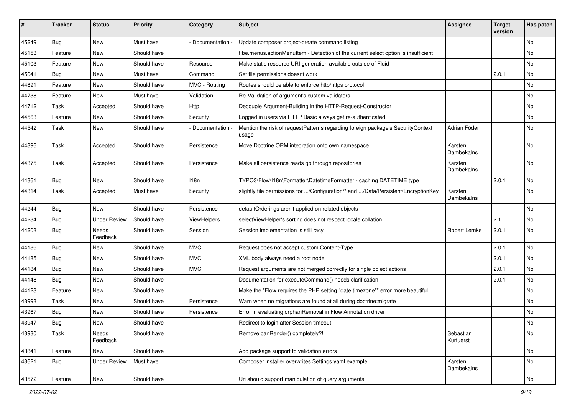| ∦     | <b>Tracker</b> | <b>Status</b>       | <b>Priority</b> | Category           | Subject                                                                                  | <b>Assignee</b>        | <b>Target</b><br>version | Has patch |
|-------|----------------|---------------------|-----------------|--------------------|------------------------------------------------------------------------------------------|------------------------|--------------------------|-----------|
| 45249 | Bug            | New                 | Must have       | Documentation -    | Update composer project-create command listing                                           |                        |                          | No        |
| 45153 | Feature        | New                 | Should have     |                    | f:be.menus.actionMenuItem - Detection of the current select option is insufficient       |                        |                          | No        |
| 45103 | Feature        | New                 | Should have     | Resource           | Make static resource URI generation available outside of Fluid                           |                        |                          | No        |
| 45041 | Bug            | New                 | Must have       | Command            | Set file permissions doesnt work                                                         |                        | 2.0.1                    | <b>No</b> |
| 44891 | Feature        | New                 | Should have     | MVC - Routing      | Routes should be able to enforce http/https protocol                                     |                        |                          | No        |
| 44738 | Feature        | New                 | Must have       | Validation         | Re-Validation of argument's custom validators                                            |                        |                          | <b>No</b> |
| 44712 | Task           | Accepted            | Should have     | Http               | Decouple Argument-Building in the HTTP-Request-Constructor                               |                        |                          | No        |
| 44563 | Feature        | New                 | Should have     | Security           | Logged in users via HTTP Basic always get re-authenticated                               |                        |                          | <b>No</b> |
| 44542 | Task           | New                 | Should have     | Documentation -    | Mention the risk of requestPatterns regarding foreign package's SecurityContext<br>usage | Adrian Föder           |                          | No        |
| 44396 | Task           | Accepted            | Should have     | Persistence        | Move Doctrine ORM integration onto own namespace                                         | Karsten<br>Dambekalns  |                          | No        |
| 44375 | Task           | Accepted            | Should have     | Persistence        | Make all persistence reads go through repositories                                       | Karsten<br>Dambekalns  |                          | <b>No</b> |
| 44361 | Bug            | New                 | Should have     | 118n               | TYPO3\Flow\I18n\Formatter\DatetimeFormatter - caching DATETIME type                      |                        | 2.0.1                    | No        |
| 44314 | Task           | Accepted            | Must have       | Security           | slightly file permissions for /Configuration/* and /Data/Persistent/EncryptionKey        | Karsten<br>Dambekalns  |                          | <b>No</b> |
| 44244 | Bug            | New                 | Should have     | Persistence        | defaultOrderings aren't applied on related objects                                       |                        |                          | No        |
| 44234 | <b>Bug</b>     | <b>Under Review</b> | Should have     | <b>ViewHelpers</b> | selectViewHelper's sorting does not respect locale collation                             |                        | 2.1                      | No        |
| 44203 | Bug            | Needs<br>Feedback   | Should have     | Session            | Session implementation is still racy                                                     | Robert Lemke           | 2.0.1                    | <b>No</b> |
| 44186 | Bug            | New                 | Should have     | <b>MVC</b>         | Request does not accept custom Content-Type                                              |                        | 2.0.1                    | No        |
| 44185 | <b>Bug</b>     | New                 | Should have     | <b>MVC</b>         | XML body always need a root node                                                         |                        | 2.0.1                    | No        |
| 44184 | <b>Bug</b>     | New                 | Should have     | <b>MVC</b>         | Request arguments are not merged correctly for single object actions                     |                        | 2.0.1                    | No        |
| 44148 | <b>Bug</b>     | New                 | Should have     |                    | Documentation for executeCommand() needs clarification                                   |                        | 2.0.1                    | No        |
| 44123 | Feature        | New                 | Should have     |                    | Make the "Flow requires the PHP setting "date.timezone"" error more beautiful            |                        |                          | No        |
| 43993 | Task           | New                 | Should have     | Persistence        | Warn when no migrations are found at all during doctrine: migrate                        |                        |                          | No        |
| 43967 | <b>Bug</b>     | New                 | Should have     | Persistence        | Error in evaluating orphanRemoval in Flow Annotation driver                              |                        |                          | No        |
| 43947 | Bug            | New                 | Should have     |                    | Redirect to login after Session timeout                                                  |                        |                          | No        |
| 43930 | Task           | Needs<br>Feedback   | Should have     |                    | Remove canRender() completely?!                                                          | Sebastian<br>Kurfuerst |                          | No        |
| 43841 | Feature        | New                 | Should have     |                    | Add package support to validation errors                                                 |                        |                          | No        |
| 43621 | <b>Bug</b>     | <b>Under Review</b> | Must have       |                    | Composer installer overwrites Settings.yaml.example                                      | Karsten<br>Dambekalns  |                          | No        |
| 43572 | Feature        | New                 | Should have     |                    | Uri should support manipulation of query arguments                                       |                        |                          | No        |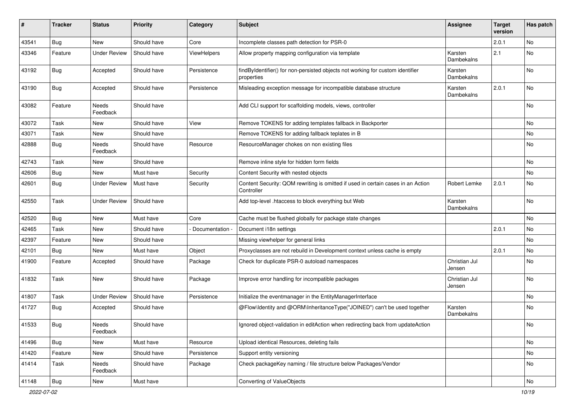| #     | <b>Tracker</b> | <b>Status</b>       | <b>Priority</b> | Category           | <b>Subject</b>                                                                                 | <b>Assignee</b>         | <b>Target</b><br>version | Has patch |
|-------|----------------|---------------------|-----------------|--------------------|------------------------------------------------------------------------------------------------|-------------------------|--------------------------|-----------|
| 43541 | Bug            | New                 | Should have     | Core               | Incomplete classes path detection for PSR-0                                                    |                         | 2.0.1                    | No        |
| 43346 | Feature        | <b>Under Review</b> | Should have     | <b>ViewHelpers</b> | Allow property mapping configuration via template                                              | Karsten<br>Dambekalns   | 2.1                      | No        |
| 43192 | Bug            | Accepted            | Should have     | Persistence        | findByIdentifier() for non-persisted objects not working for custom identifier<br>properties   | Karsten<br>Dambekalns   |                          | No        |
| 43190 | <b>Bug</b>     | Accepted            | Should have     | Persistence        | Misleading exception message for incompatible database structure                               | Karsten<br>Dambekalns   | 2.0.1                    | No        |
| 43082 | Feature        | Needs<br>Feedback   | Should have     |                    | Add CLI support for scaffolding models, views, controller                                      |                         |                          | No        |
| 43072 | Task           | New                 | Should have     | View               | Remove TOKENS for adding templates fallback in Backporter                                      |                         |                          | No        |
| 43071 | Task           | New                 | Should have     |                    | Remove TOKENS for adding fallback teplates in B                                                |                         |                          | No        |
| 42888 | Bug            | Needs<br>Feedback   | Should have     | Resource           | ResourceManager chokes on non existing files                                                   |                         |                          | No        |
| 42743 | Task           | New                 | Should have     |                    | Remove inline style for hidden form fields                                                     |                         |                          | No        |
| 42606 | Bug            | New                 | Must have       | Security           | Content Security with nested objects                                                           |                         |                          | No        |
| 42601 | <b>Bug</b>     | <b>Under Review</b> | Must have       | Security           | Content Security: QOM rewriting is omitted if used in certain cases in an Action<br>Controller | Robert Lemke            | 2.0.1                    | No        |
| 42550 | Task           | <b>Under Review</b> | Should have     |                    | Add top-level .htaccess to block everything but Web                                            | Karsten<br>Dambekalns   |                          | No        |
| 42520 | Bug            | New                 | Must have       | Core               | Cache must be flushed globally for package state changes                                       |                         |                          | No        |
| 42465 | Task           | New                 | Should have     | - Documentation -  | Document i18n settings                                                                         |                         | 2.0.1                    | No        |
| 42397 | Feature        | New                 | Should have     |                    | Missing viewhelper for general links                                                           |                         |                          | No        |
| 42101 | Bug            | New                 | Must have       | Object             | Proxyclasses are not rebuild in Development context unless cache is empty                      |                         | 2.0.1                    | No        |
| 41900 | Feature        | Accepted            | Should have     | Package            | Check for duplicate PSR-0 autoload namespaces                                                  | Christian Jul<br>Jensen |                          | No        |
| 41832 | Task           | New                 | Should have     | Package            | Improve error handling for incompatible packages                                               | Christian Jul<br>Jensen |                          | No        |
| 41807 | Task           | <b>Under Review</b> | Should have     | Persistence        | Initialize the eventmanager in the EntityManagerInterface                                      |                         |                          | No        |
| 41727 | <b>Bug</b>     | Accepted            | Should have     |                    | @Flow\Identity and @ORM\InheritanceType("JOINED") can't be used together                       | Karsten<br>Dambekalns   |                          | <b>No</b> |
| 41533 | <b>Bug</b>     | Needs<br>Feedback   | Should have     |                    | Ignored object-validation in editAction when redirecting back from updateAction                |                         |                          | No        |
| 41496 | Bug            | New                 | Must have       | Resource           | Upload identical Resources, deleting fails                                                     |                         |                          | No        |
| 41420 | Feature        | New                 | Should have     | Persistence        | Support entity versioning                                                                      |                         |                          | No        |
| 41414 | Task           | Needs<br>Feedback   | Should have     | Package            | Check packageKey naming / file structure below Packages/Vendor                                 |                         |                          | No        |
| 41148 | Bug            | New                 | Must have       |                    | Converting of ValueObjects                                                                     |                         |                          | No        |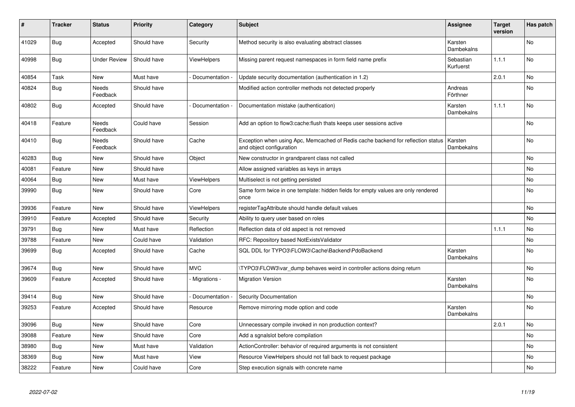| #     | <b>Tracker</b> | <b>Status</b>            | <b>Priority</b> | Category           | <b>Subject</b>                                                                                               | <b>Assignee</b>        | <b>Target</b><br>version | Has patch      |
|-------|----------------|--------------------------|-----------------|--------------------|--------------------------------------------------------------------------------------------------------------|------------------------|--------------------------|----------------|
| 41029 | <b>Bug</b>     | Accepted                 | Should have     | Security           | Method security is also evaluating abstract classes                                                          | Karsten<br>Dambekalns  |                          | <b>No</b>      |
| 40998 | Bug            | <b>Under Review</b>      | Should have     | <b>ViewHelpers</b> | Missing parent request namespaces in form field name prefix                                                  | Sebastian<br>Kurfuerst | 1.1.1                    | <b>No</b>      |
| 40854 | Task           | <b>New</b>               | Must have       | Documentation      | Update security documentation (authentication in 1.2)                                                        |                        | 2.0.1                    | <b>No</b>      |
| 40824 | <b>Bug</b>     | <b>Needs</b><br>Feedback | Should have     |                    | Modified action controller methods not detected properly                                                     | Andreas<br>Förthner    |                          | N <sub>o</sub> |
| 40802 | <b>Bug</b>     | Accepted                 | Should have     | Documentation      | Documentation mistake (authentication)                                                                       | Karsten<br>Dambekalns  | 1.1.1                    | <b>No</b>      |
| 40418 | Feature        | Needs<br>Feedback        | Could have      | Session            | Add an option to flow3: cache: flush thats keeps user sessions active                                        |                        |                          | No             |
| 40410 | <b>Bug</b>     | Needs<br>Feedback        | Should have     | Cache              | Exception when using Apc, Memcached of Redis cache backend for reflection status<br>and object configuration | Karsten<br>Dambekalns  |                          | <b>No</b>      |
| 40283 | Bug            | New                      | Should have     | Object             | New constructor in grandparent class not called                                                              |                        |                          | No             |
| 40081 | Feature        | New                      | Should have     |                    | Allow assigned variables as keys in arrays                                                                   |                        |                          | No             |
| 40064 | <b>Bug</b>     | New                      | Must have       | <b>ViewHelpers</b> | Multiselect is not getting persisted                                                                         |                        |                          | No             |
| 39990 | Bug            | New                      | Should have     | Core               | Same form twice in one template: hidden fields for empty values are only rendered<br>once                    |                        |                          | No             |
| 39936 | Feature        | New                      | Should have     | ViewHelpers        | registerTagAttribute should handle default values                                                            |                        |                          | <b>No</b>      |
| 39910 | Feature        | Accepted                 | Should have     | Security           | Ability to query user based on roles                                                                         |                        |                          | No             |
| 39791 | <b>Bug</b>     | New                      | Must have       | Reflection         | Reflection data of old aspect is not removed                                                                 |                        | 1.1.1                    | No             |
| 39788 | Feature        | New                      | Could have      | Validation         | RFC: Repository based NotExistsValidator                                                                     |                        |                          | No             |
| 39699 | Bug            | Accepted                 | Should have     | Cache              | SQL DDL for TYPO3\FLOW3\Cache\Backend\PdoBackend                                                             | Karsten<br>Dambekalns  |                          | No             |
| 39674 | <b>Bug</b>     | <b>New</b>               | Should have     | <b>MVC</b>         | TYPO3\FLOW3\var_dump behaves weird in controller actions doing return                                        |                        |                          | <b>No</b>      |
| 39609 | Feature        | Accepted                 | Should have     | Migrations -       | <b>Migration Version</b>                                                                                     | Karsten<br>Dambekalns  |                          | No             |
| 39414 | Bug            | New                      | Should have     | Documentation      | <b>Security Documentation</b>                                                                                |                        |                          | No             |
| 39253 | Feature        | Accepted                 | Should have     | Resource           | Remove mirroring mode option and code                                                                        | Karsten<br>Dambekalns  |                          | No             |
| 39096 | <b>Bug</b>     | New                      | Should have     | Core               | Unnecessary compile invoked in non production context?                                                       |                        | 2.0.1                    | No             |
| 39088 | Feature        | New                      | Should have     | Core               | Add a sgnalslot before compilation                                                                           |                        |                          | <b>No</b>      |
| 38980 | <b>Bug</b>     | New                      | Must have       | Validation         | ActionController: behavior of required arguments is not consistent                                           |                        |                          | No             |
| 38369 | <b>Bug</b>     | New                      | Must have       | View               | Resource ViewHelpers should not fall back to request package                                                 |                        |                          | No             |
| 38222 | Feature        | New                      | Could have      | Core               | Step execution signals with concrete name                                                                    |                        |                          | No             |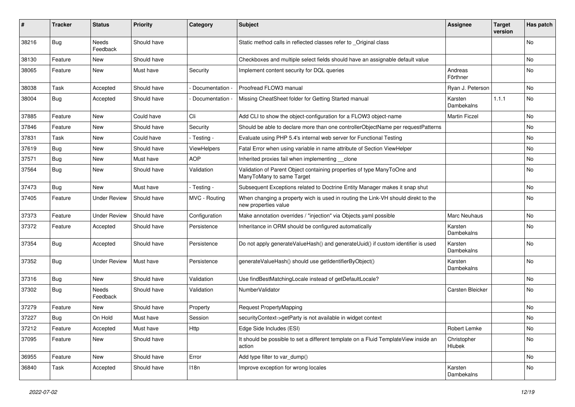| #     | <b>Tracker</b> | <b>Status</b>       | <b>Priority</b> | Category        | <b>Subject</b>                                                                                            | <b>Assignee</b>       | <b>Target</b><br>version | Has patch |
|-------|----------------|---------------------|-----------------|-----------------|-----------------------------------------------------------------------------------------------------------|-----------------------|--------------------------|-----------|
| 38216 | Bug            | Needs<br>Feedback   | Should have     |                 | Static method calls in reflected classes refer to _Original class                                         |                       |                          | <b>No</b> |
| 38130 | Feature        | New                 | Should have     |                 | Checkboxes and multiple select fields should have an assignable default value                             |                       |                          | No        |
| 38065 | Feature        | New                 | Must have       | Security        | Implement content security for DQL queries                                                                | Andreas<br>Förthner   |                          | No        |
| 38038 | Task           | Accepted            | Should have     | Documentation - | Proofread FLOW3 manual                                                                                    | Ryan J. Peterson      |                          | No.       |
| 38004 | Bug            | Accepted            | Should have     | Documentation - | Missing CheatSheet folder for Getting Started manual                                                      | Karsten<br>Dambekalns | 1.1.1                    | No        |
| 37885 | Feature        | New                 | Could have      | Cli             | Add CLI to show the object-configuration for a FLOW3 object-name                                          | <b>Martin Ficzel</b>  |                          | No        |
| 37846 | Feature        | New                 | Should have     | Security        | Should be able to declare more than one controllerObjectName per requestPatterns                          |                       |                          | No        |
| 37831 | Task           | New                 | Could have      | - Testing -     | Evaluate using PHP 5.4's internal web server for Functional Testing                                       |                       |                          | No        |
| 37619 | <b>Bug</b>     | New                 | Should have     | ViewHelpers     | Fatal Error when using variable in name attribute of Section ViewHelper                                   |                       |                          | No        |
| 37571 | Bug            | New                 | Must have       | <b>AOP</b>      | Inherited proxies fail when implementing clone                                                            |                       |                          | No        |
| 37564 | <b>Bug</b>     | New                 | Should have     | Validation      | Validation of Parent Object containing properties of type ManyToOne and<br>ManyToMany to same Target      |                       |                          | No        |
| 37473 | Bug            | New                 | Must have       | - Testing -     | Subsequent Exceptions related to Doctrine Entity Manager makes it snap shut                               |                       |                          | No.       |
| 37405 | Feature        | <b>Under Review</b> | Should have     | MVC - Routing   | When changing a property wich is used in routing the Link-VH should direkt to the<br>new properties value |                       |                          | No        |
| 37373 | Feature        | <b>Under Review</b> | Should have     | Configuration   | Make annotation overrides / "injection" via Objects.yaml possible                                         | Marc Neuhaus          |                          | No        |
| 37372 | Feature        | Accepted            | Should have     | Persistence     | Inheritance in ORM should be configured automatically                                                     | Karsten<br>Dambekalns |                          | No        |
| 37354 | Bug            | Accepted            | Should have     | Persistence     | Do not apply generateValueHash() and generateUuid() if custom identifier is used                          | Karsten<br>Dambekalns |                          | No        |
| 37352 | <b>Bug</b>     | <b>Under Review</b> | Must have       | Persistence     | generateValueHash() should use getIdentifierByObject()                                                    | Karsten<br>Dambekalns |                          | No        |
| 37316 | Bug            | New                 | Should have     | Validation      | Use findBestMatchingLocale instead of getDefaultLocale?                                                   |                       |                          | No        |
| 37302 | <b>Bug</b>     | Needs<br>Feedback   | Should have     | Validation      | <b>NumberValidator</b>                                                                                    | Carsten Bleicker      |                          | No        |
| 37279 | Feature        | New                 | Should have     | Property        | <b>Request PropertyMapping</b>                                                                            |                       |                          | No        |
| 37227 | <b>Bug</b>     | On Hold             | Must have       | Session         | securityContext->getParty is not available in widget context                                              |                       |                          | No        |
| 37212 | Feature        | Accepted            | Must have       | Http            | Edge Side Includes (ESI)                                                                                  | Robert Lemke          |                          | No        |
| 37095 | Feature        | New                 | Should have     |                 | It should be possible to set a different template on a Fluid TemplateView inside an<br>action             | Christopher<br>Hlubek |                          | No        |
| 36955 | Feature        | New                 | Should have     | Error           | Add type filter to var dump()                                                                             |                       |                          | No        |
| 36840 | Task           | Accepted            | Should have     | 118n            | Improve exception for wrong locales                                                                       | Karsten<br>Dambekalns |                          | No        |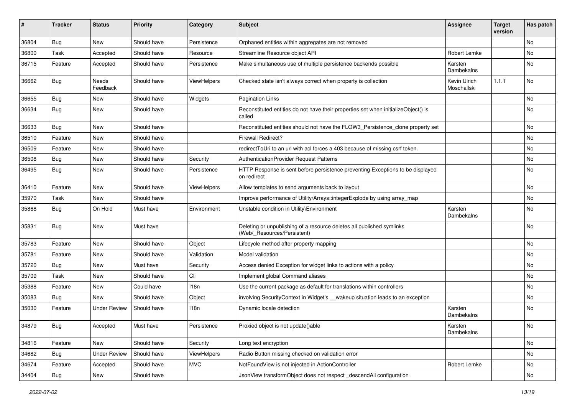| #     | <b>Tracker</b> | <b>Status</b>       | <b>Priority</b> | Category    | Subject                                                                                              | <b>Assignee</b>             | <b>Target</b><br>version | Has patch |
|-------|----------------|---------------------|-----------------|-------------|------------------------------------------------------------------------------------------------------|-----------------------------|--------------------------|-----------|
| 36804 | <b>Bug</b>     | New                 | Should have     | Persistence | Orphaned entities within aggregates are not removed                                                  |                             |                          | No        |
| 36800 | Task           | Accepted            | Should have     | Resource    | Streamline Resource object API                                                                       | Robert Lemke                |                          | No        |
| 36715 | Feature        | Accepted            | Should have     | Persistence | Make simultaneous use of multiple persistence backends possible                                      | Karsten<br>Dambekalns       |                          | No        |
| 36662 | <b>Bug</b>     | Needs<br>Feedback   | Should have     | ViewHelpers | Checked state isn't always correct when property is collection                                       | Kevin Ulrich<br>Moschallski | 1.1.1                    | No        |
| 36655 | Bug            | New                 | Should have     | Widgets     | <b>Pagination Links</b>                                                                              |                             |                          | No        |
| 36634 | <b>Bug</b>     | New                 | Should have     |             | Reconstituted entities do not have their properties set when initializeObject() is<br>called         |                             |                          | No        |
| 36633 | <b>Bug</b>     | New                 | Should have     |             | Reconstituted entities should not have the FLOW3_Persistence_clone property set                      |                             |                          | No        |
| 36510 | Feature        | New                 | Should have     |             | <b>Firewall Redirect?</b>                                                                            |                             |                          | No        |
| 36509 | Feature        | New                 | Should have     |             | redirectToUri to an uri with acl forces a 403 because of missing csrf token.                         |                             |                          | No        |
| 36508 | <b>Bug</b>     | New                 | Should have     | Security    | AuthenticationProvider Request Patterns                                                              |                             |                          | No        |
| 36495 | Bug            | New                 | Should have     | Persistence | HTTP Response is sent before persistence preventing Exceptions to be displayed<br>on redirect        |                             |                          | No        |
| 36410 | Feature        | New                 | Should have     | ViewHelpers | Allow templates to send arguments back to layout                                                     |                             |                          | No        |
| 35970 | Task           | New                 | Should have     |             | Improve performance of Utility/Arrays::integerExplode by using array_map                             |                             |                          | No        |
| 35868 | <b>Bug</b>     | On Hold             | Must have       | Environment | Unstable condition in Utility\Environment                                                            | Karsten<br>Dambekalns       |                          | No        |
| 35831 | Bug            | New                 | Must have       |             | Deleting or unpublishing of a resource deletes all published symlinks<br>(Web/_Resources/Persistent) |                             |                          | No        |
| 35783 | Feature        | New                 | Should have     | Object      | Lifecycle method after property mapping                                                              |                             |                          | No        |
| 35781 | Feature        | New                 | Should have     | Validation  | Model validation                                                                                     |                             |                          | No        |
| 35720 | <b>Bug</b>     | New                 | Must have       | Security    | Access denied Exception for widget links to actions with a policy                                    |                             |                          | No        |
| 35709 | Task           | New                 | Should have     | Cli         | Implement global Command aliases                                                                     |                             |                          | No        |
| 35388 | Feature        | New                 | Could have      | 118n        | Use the current package as default for translations within controllers                               |                             |                          | No        |
| 35083 | <b>Bug</b>     | New                 | Should have     | Object      | involving SecurityContext in Widget's __ wakeup situation leads to an exception                      |                             |                          | No        |
| 35030 | Feature        | <b>Under Review</b> | Should have     | 118n        | Dynamic locale detection                                                                             | Karsten<br>Dambekalns       |                          | No        |
| 34879 | Bug            | Accepted            | Must have       | Persistence | Proxied object is not update()able                                                                   | Karsten<br>Dambekalns       |                          | No        |
| 34816 | Feature        | New                 | Should have     | Security    | Long text encryption                                                                                 |                             |                          | No        |
| 34682 | Bug            | <b>Under Review</b> | Should have     | ViewHelpers | Radio Button missing checked on validation error                                                     |                             |                          | No        |
| 34674 | Feature        | Accepted            | Should have     | <b>MVC</b>  | NotFoundView is not injected in ActionController                                                     | Robert Lemke                |                          | No        |
| 34404 | <b>Bug</b>     | New                 | Should have     |             | JsonView transformObject does not respect _descendAll configuration                                  |                             |                          | No        |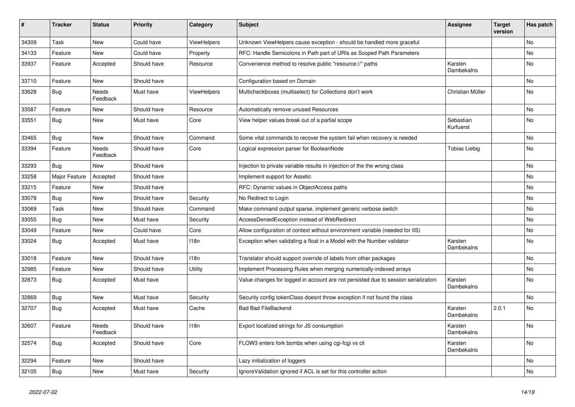| ∦     | <b>Tracker</b> | <b>Status</b>     | <b>Priority</b> | Category           | <b>Subject</b>                                                                     | <b>Assignee</b>        | <b>Target</b><br>version | Has patch |
|-------|----------------|-------------------|-----------------|--------------------|------------------------------------------------------------------------------------|------------------------|--------------------------|-----------|
| 34309 | Task           | <b>New</b>        | Could have      | ViewHelpers        | Unknown ViewHelpers cause exception - should be handled more graceful              |                        |                          | <b>No</b> |
| 34133 | Feature        | New               | Could have      | Property           | RFC: Handle Semicolons in Path part of URIs as Scoped Path Parameters              |                        |                          | <b>No</b> |
| 33937 | Feature        | Accepted          | Should have     | Resource           | Convenience method to resolve public "resource://" paths                           | Karsten<br>Dambekalns  |                          | <b>No</b> |
| 33710 | Feature        | New               | Should have     |                    | Configuration based on Domain                                                      |                        |                          | No        |
| 33628 | <b>Bug</b>     | Needs<br>Feedback | Must have       | <b>ViewHelpers</b> | Multicheckboxes (multiselect) for Collections don't work                           | Christian Müller       |                          | No        |
| 33587 | Feature        | New               | Should have     | Resource           | Automatically remove unused Resources                                              |                        |                          | No        |
| 33551 | Bug            | New               | Must have       | Core               | View helper values break out of a partial scope                                    | Sebastian<br>Kurfuerst |                          | No        |
| 33465 | Bug            | <b>New</b>        | Should have     | Command            | Some vital commands to recover the system fail when recovery is needed             |                        |                          | No        |
| 33394 | Feature        | Needs<br>Feedback | Should have     | Core               | Logical expression parser for BooleanNode                                          | Tobias Liebig          |                          | No        |
| 33293 | <b>Bug</b>     | New               | Should have     |                    | Injection to private variable results in injection of the the wrong class          |                        |                          | No        |
| 33258 | Major Feature  | Accepted          | Should have     |                    | Implement support for Assetic                                                      |                        |                          | No        |
| 33215 | Feature        | New               | Should have     |                    | RFC: Dynamic values in ObjectAccess paths                                          |                        |                          | No        |
| 33078 | Bug            | New               | Should have     | Security           | No Redirect to Login                                                               |                        |                          | No        |
| 33069 | Task           | New               | Should have     | Command            | Make command output sparse, implement generic verbose switch                       |                        |                          | No        |
| 33055 | <b>Bug</b>     | New               | Must have       | Security           | AccessDeniedException instead of WebRedirect                                       |                        |                          | No        |
| 33049 | Feature        | New               | Could have      | Core               | Allow configuration of context without environment variable (needed for IIS)       |                        |                          | No        |
| 33024 | <b>Bug</b>     | Accepted          | Must have       | 118n               | Exception when validating a float in a Model with the Number validator             | Karsten<br>Dambekalns  |                          | No        |
| 33018 | Feature        | New               | Should have     | 118n               | Translator should support override of labels from other packages                   |                        |                          | No        |
| 32985 | Feature        | New               | Should have     | <b>Utility</b>     | Implement Processing Rules when merging numerically-indexed arrays                 |                        |                          | No        |
| 32873 | <b>Bug</b>     | Accepted          | Must have       |                    | Value changes for logged in account are not persisted due to session serialization | Karsten<br>Dambekalns  |                          | No        |
| 32869 | <b>Bug</b>     | New               | Must have       | Security           | Security config tokenClass doesnt throw exception if not found the class           |                        |                          | No        |
| 32707 | <b>Bug</b>     | Accepted          | Must have       | Cache              | <b>Bad Bad FileBackend</b>                                                         | Karsten<br>Dambekalns  | 2.0.1                    | No        |
| 32607 | Feature        | Needs<br>Feedback | Should have     | 118n               | Export localized strings for JS consumption                                        | Karsten<br>Dambekalns  |                          | No        |
| 32574 | <b>Bug</b>     | Accepted          | Should have     | Core               | FLOW3 enters fork bombs when using cgi-fcgi vs cli                                 | Karsten<br>Dambekalns  |                          | No        |
| 32294 | Feature        | New               | Should have     |                    | Lazy initialization of loggers                                                     |                        |                          | No        |
| 32105 | <b>Bug</b>     | New               | Must have       | Security           | Ignore Validation ignored if ACL is set for this controller action                 |                        |                          | No        |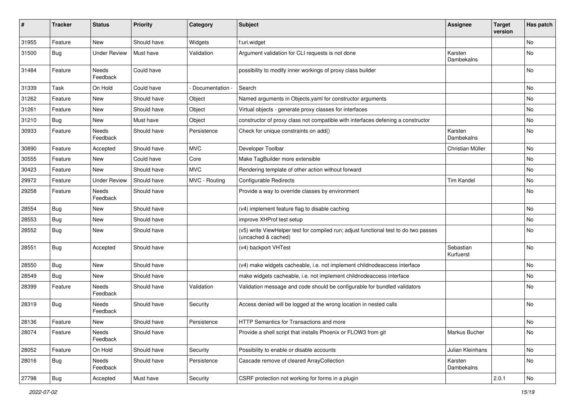| $\sharp$ | <b>Tracker</b> | <b>Status</b>       | <b>Priority</b> | Category        | <b>Subject</b>                                                                                              | <b>Assignee</b>        | <b>Target</b><br>version | Has patch |
|----------|----------------|---------------------|-----------------|-----------------|-------------------------------------------------------------------------------------------------------------|------------------------|--------------------------|-----------|
| 31955    | Feature        | New                 | Should have     | Widgets         | f:uri.widget                                                                                                |                        |                          | No        |
| 31500    | Bug            | <b>Under Review</b> | Must have       | Validation      | Argument validation for CLI requests is not done                                                            | Karsten<br>Dambekalns  |                          | No        |
| 31484    | Feature        | Needs<br>Feedback   | Could have      |                 | possibility to modify inner workings of proxy class builder                                                 |                        |                          | No        |
| 31339    | Task           | On Hold             | Could have      | Documentation - | Search                                                                                                      |                        |                          | No.       |
| 31262    | Feature        | New                 | Should have     | Object          | Named arguments in Objects yaml for constructor arguments                                                   |                        |                          | No        |
| 31261    | Feature        | New                 | Should have     | Object          | Virtual objects - generate proxy classes for interfaces                                                     |                        |                          | No        |
| 31210    | Bug            | New                 | Must have       | Object          | constructor of proxy class not compatible with interfaces defening a constructor                            |                        |                          | No        |
| 30933    | Feature        | Needs<br>Feedback   | Should have     | Persistence     | Check for unique constraints on add()                                                                       | Karsten<br>Dambekalns  |                          | No        |
| 30890    | Feature        | Accepted            | Should have     | <b>MVC</b>      | Developer Toolbar                                                                                           | Christian Müller       |                          | No        |
| 30555    | Feature        | New                 | Could have      | Core            | Make TagBuilder more extensible                                                                             |                        |                          | No        |
| 30423    | Feature        | New                 | Should have     | <b>MVC</b>      | Rendering template of other action without forward                                                          |                        |                          | No        |
| 29972    | Feature        | <b>Under Review</b> | Should have     | MVC - Routing   | Configurable Redirects                                                                                      | <b>Tim Kandel</b>      |                          | No        |
| 29258    | Feature        | Needs<br>Feedback   | Should have     |                 | Provide a way to override classes by environment                                                            |                        |                          | No        |
| 28554    | Bug            | New                 | Should have     |                 | (v4) implement feature flag to disable caching                                                              |                        |                          | No        |
| 28553    | Bug            | New                 | Should have     |                 | improve XHProf test setup                                                                                   |                        |                          | No        |
| 28552    | Bug            | New                 | Should have     |                 | (v5) write ViewHelper test for compiled run; adjust functional test to do two passes<br>(uncached & cached) |                        |                          | No        |
| 28551    | Bug            | Accepted            | Should have     |                 | (v4) backport VHTest                                                                                        | Sebastian<br>Kurfuerst |                          | No        |
| 28550    | Bug            | New                 | Should have     |                 | (v4) make widgets cacheable, i.e. not implement childnodeaccess interface                                   |                        |                          | No        |
| 28549    | Bug            | New                 | Should have     |                 | make widgets cacheable, i.e. not implement childnodeaccess interface                                        |                        |                          | No        |
| 28399    | Feature        | Needs<br>Feedback   | Should have     | Validation      | Validation message and code should be configurable for bundled validators                                   |                        |                          | No        |
| 28319    | Bug            | Needs<br>Feedback   | Should have     | Security        | Access denied will be logged at the wrong location in nested calls                                          |                        |                          | No        |
| 28136    | Feature        | New                 | Should have     | Persistence     | HTTP Semantics for Transactions and more                                                                    |                        |                          | No        |
| 28074    | Feature        | Needs<br>Feedback   | Should have     |                 | Provide a shell script that installs Phoenix or FLOW3 from git                                              | Markus Bucher          |                          | No        |
| 28052    | Feature        | On Hold             | Should have     | Security        | Possibility to enable or disable accounts                                                                   | Julian Kleinhans       |                          | No        |
| 28016    | <b>Bug</b>     | Needs<br>Feedback   | Should have     | Persistence     | Cascade remove of cleared ArrayCollection                                                                   | Karsten<br>Dambekalns  |                          | No        |
| 27798    | <b>Bug</b>     | Accepted            | Must have       | Security        | CSRF protection not working for forms in a plugin                                                           |                        | 2.0.1                    | No        |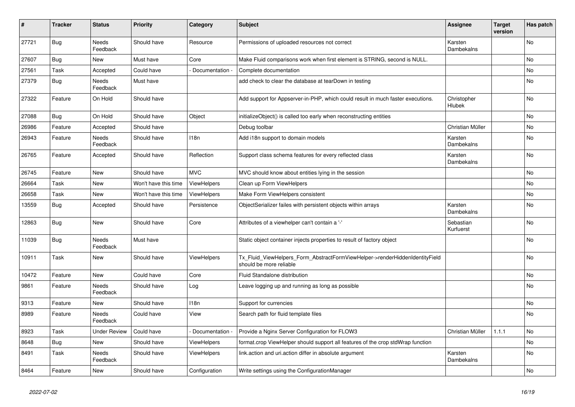| #     | <b>Tracker</b> | <b>Status</b>            | <b>Priority</b>      | Category           | <b>Subject</b>                                                                                         | <b>Assignee</b>              | <b>Target</b><br>version | Has patch      |
|-------|----------------|--------------------------|----------------------|--------------------|--------------------------------------------------------------------------------------------------------|------------------------------|--------------------------|----------------|
| 27721 | <b>Bug</b>     | <b>Needs</b><br>Feedback | Should have          | Resource           | Permissions of uploaded resources not correct                                                          | Karsten<br>Dambekalns        |                          | N <sub>o</sub> |
| 27607 | <b>Bug</b>     | New                      | Must have            | Core               | Make Fluid comparisons work when first element is STRING, second is NULL.                              |                              |                          | No             |
| 27561 | Task           | Accepted                 | Could have           | Documentation      | Complete documentation                                                                                 |                              |                          | No             |
| 27379 | <b>Bug</b>     | Needs<br>Feedback        | Must have            |                    | add check to clear the database at tearDown in testing                                                 |                              |                          | No             |
| 27322 | Feature        | On Hold                  | Should have          |                    | Add support for Appserver-in-PHP, which could result in much faster executions.                        | Christopher<br>Hlubek        |                          | No             |
| 27088 | Bug            | On Hold                  | Should have          | Object             | initializeObject() is called too early when reconstructing entities                                    |                              |                          | No             |
| 26986 | Feature        | Accepted                 | Should have          |                    | Debug toolbar                                                                                          | Christian Müller             |                          | No             |
| 26943 | Feature        | Needs<br>Feedback        | Should have          | 118n               | Add i18n support to domain models                                                                      | Karsten<br><b>Dambekalns</b> |                          | No             |
| 26765 | Feature        | Accepted                 | Should have          | Reflection         | Support class schema features for every reflected class                                                | Karsten<br>Dambekalns        |                          | <b>No</b>      |
| 26745 | Feature        | New                      | Should have          | <b>MVC</b>         | MVC should know about entities lying in the session                                                    |                              |                          | No             |
| 26664 | Task           | New                      | Won't have this time | <b>ViewHelpers</b> | Clean up Form ViewHelpers                                                                              |                              |                          | No             |
| 26658 | Task           | New                      | Won't have this time | <b>ViewHelpers</b> | Make Form ViewHelpers consistent                                                                       |                              |                          | No             |
| 13559 | <b>Bug</b>     | Accepted                 | Should have          | Persistence        | ObjectSerializer failes with persistent objects within arrays                                          | Karsten<br>Dambekalns        |                          | No             |
| 12863 | <b>Bug</b>     | New                      | Should have          | Core               | Attributes of a viewhelper can't contain a '-'                                                         | Sebastian<br>Kurfuerst       |                          | No             |
| 11039 | Bug            | Needs<br>Feedback        | Must have            |                    | Static object container injects properties to result of factory object                                 |                              |                          | No             |
| 10911 | Task           | New                      | Should have          | <b>ViewHelpers</b> | Tx_Fluid_ViewHelpers_Form_AbstractFormViewHelper->renderHiddenIdentityField<br>should be more reliable |                              |                          | No             |
| 10472 | Feature        | New                      | Could have           | Core               | Fluid Standalone distribution                                                                          |                              |                          | No             |
| 9861  | Feature        | <b>Needs</b><br>Feedback | Should have          | Log                | Leave logging up and running as long as possible                                                       |                              |                          | No             |
| 9313  | Feature        | New                      | Should have          | 118n               | Support for currencies                                                                                 |                              |                          | No             |
| 8989  | Feature        | Needs<br>Feedback        | Could have           | View               | Search path for fluid template files                                                                   |                              |                          | No             |
| 8923  | Task           | <b>Under Review</b>      | Could have           | Documentation -    | Provide a Nginx Server Configuration for FLOW3                                                         | Christian Müller             | 1.1.1                    | No             |
| 8648  | <b>Bug</b>     | New                      | Should have          | ViewHelpers        | format.crop ViewHelper should support all features of the crop stdWrap function                        |                              |                          | No             |
| 8491  | Task           | Needs<br>Feedback        | Should have          | <b>ViewHelpers</b> | link.action and uri.action differ in absolute argument                                                 | Karsten<br>Dambekalns        |                          | No             |
| 8464  | Feature        | New                      | Should have          | Configuration      | Write settings using the ConfigurationManager                                                          |                              |                          | No             |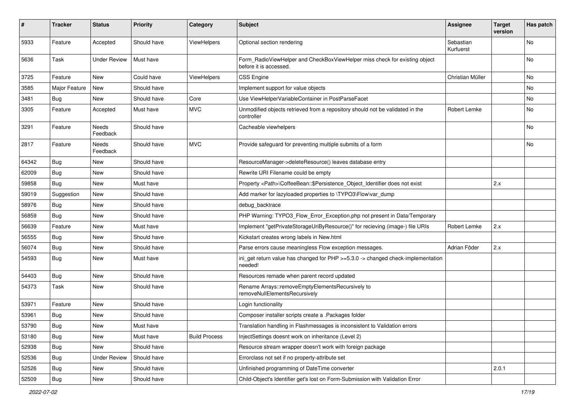| ∦     | <b>Tracker</b> | <b>Status</b>       | <b>Priority</b> | Category             | Subject                                                                                              | <b>Assignee</b>        | <b>Target</b><br>version | Has patch |
|-------|----------------|---------------------|-----------------|----------------------|------------------------------------------------------------------------------------------------------|------------------------|--------------------------|-----------|
| 5933  | Feature        | Accepted            | Should have     | ViewHelpers          | Optional section rendering                                                                           | Sebastian<br>Kurfuerst |                          | No        |
| 5636  | Task           | <b>Under Review</b> | Must have       |                      | Form_RadioViewHelper and CheckBoxViewHelper miss check for existing object<br>before it is accessed. |                        |                          | No        |
| 3725  | Feature        | New                 | Could have      | <b>ViewHelpers</b>   | <b>CSS Engine</b>                                                                                    | Christian Müller       |                          | No        |
| 3585  | Major Feature  | New                 | Should have     |                      | Implement support for value objects                                                                  |                        |                          | No        |
| 3481  | <b>Bug</b>     | New                 | Should have     | Core                 | Use ViewHelperVariableContainer in PostParseFacet                                                    |                        |                          | No        |
| 3305  | Feature        | Accepted            | Must have       | <b>MVC</b>           | Unmodified objects retrieved from a repository should not be validated in the<br>controller          | Robert Lemke           |                          | No        |
| 3291  | Feature        | Needs<br>Feedback   | Should have     |                      | Cacheable viewhelpers                                                                                |                        |                          | No        |
| 2817  | Feature        | Needs<br>Feedback   | Should have     | <b>MVC</b>           | Provide safeguard for preventing multiple submits of a form                                          |                        |                          | No        |
| 64342 | <b>Bug</b>     | New                 | Should have     |                      | ResourceManager->deleteResource() leaves database entry                                              |                        |                          |           |
| 62009 | Bug            | New                 | Should have     |                      | Rewrite URI Filename could be empty                                                                  |                        |                          |           |
| 59858 | <b>Bug</b>     | New                 | Must have       |                      | Property <path>\CoffeeBean::\$Persistence_Object_Identifier does not exist</path>                    |                        | 2.x                      |           |
| 59019 | Suggestion     | New                 | Should have     |                      | Add marker for lazyloaded properties to \TYPO3\Flow\var_dump                                         |                        |                          |           |
| 58976 | Bug            | New                 | Should have     |                      | debug backtrace                                                                                      |                        |                          |           |
| 56859 | <b>Bug</b>     | New                 | Should have     |                      | PHP Warning: TYPO3_Flow_Error_Exception.php not present in Data/Temporary                            |                        |                          |           |
| 56639 | Feature        | New                 | Must have       |                      | Implement "getPrivateStorageUriByResource()" for recieving (image-) file URIs                        | Robert Lemke           | 2.x                      |           |
| 56555 | <b>Bug</b>     | New                 | Should have     |                      | Kickstart creates wrong labels in New.html                                                           |                        |                          |           |
| 56074 | <b>Bug</b>     | New                 | Should have     |                      | Parse errors cause meaningless Flow exception messages.                                              | Adrian Föder           | 2.x                      |           |
| 54593 | <b>Bug</b>     | New                 | Must have       |                      | ini_get return value has changed for PHP >=5.3.0 -> changed check-implementation<br>needed!          |                        |                          |           |
| 54403 | Bug            | <b>New</b>          | Should have     |                      | Resources remade when parent record updated                                                          |                        |                          |           |
| 54373 | Task           | New                 | Should have     |                      | Rename Arrays::removeEmptyElementsRecursively to<br>removeNullElementsRecursively                    |                        |                          |           |
| 53971 | Feature        | New                 | Should have     |                      | Login functionality                                                                                  |                        |                          |           |
| 53961 | <b>Bug</b>     | New                 | Should have     |                      | Composer installer scripts create a .Packages folder                                                 |                        |                          |           |
| 53790 | Bug            | New                 | Must have       |                      | Translation handling in Flashmessages is inconsistent to Validation errors                           |                        |                          |           |
| 53180 | Bug            | New                 | Must have       | <b>Build Process</b> | InjectSettings doesnt work on inheritance (Level 2)                                                  |                        |                          |           |
| 52938 | Bug            | New                 | Should have     |                      | Resource stream wrapper doesn't work with foreign package                                            |                        |                          |           |
| 52536 | Bug            | <b>Under Review</b> | Should have     |                      | Errorclass not set if no property-attribute set                                                      |                        |                          |           |
| 52526 | Bug            | New                 | Should have     |                      | Unfinished programming of DateTime converter                                                         |                        | 2.0.1                    |           |
| 52509 | Bug            | New                 | Should have     |                      | Child-Object's Identifier get's lost on Form-Submission with Validation Error                        |                        |                          |           |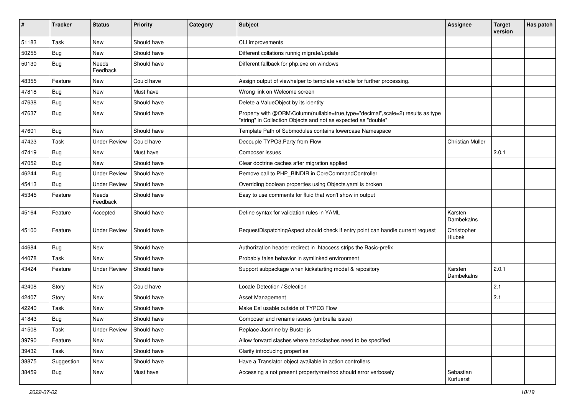| ∦     | <b>Tracker</b> | <b>Status</b>       | <b>Priority</b> | Category | <b>Subject</b>                                                                                                                                    | <b>Assignee</b>        | <b>Target</b><br>version | Has patch |
|-------|----------------|---------------------|-----------------|----------|---------------------------------------------------------------------------------------------------------------------------------------------------|------------------------|--------------------------|-----------|
| 51183 | Task           | New                 | Should have     |          | CLI improvements                                                                                                                                  |                        |                          |           |
| 50255 | <b>Bug</b>     | New                 | Should have     |          | Different collations runnig migrate/update                                                                                                        |                        |                          |           |
| 50130 | <b>Bug</b>     | Needs<br>Feedback   | Should have     |          | Different fallback for php.exe on windows                                                                                                         |                        |                          |           |
| 48355 | Feature        | New                 | Could have      |          | Assign output of viewhelper to template variable for further processing.                                                                          |                        |                          |           |
| 47818 | Bug            | New                 | Must have       |          | Wrong link on Welcome screen                                                                                                                      |                        |                          |           |
| 47638 | Bug            | New                 | Should have     |          | Delete a ValueObject by its identity                                                                                                              |                        |                          |           |
| 47637 | <b>Bug</b>     | New                 | Should have     |          | Property with @ORM\Column(nullable=true,type="decimal",scale=2) results as type<br>"string" in Collection Objects and not as expected as "double" |                        |                          |           |
| 47601 | Bug            | <b>New</b>          | Should have     |          | Template Path of Submodules contains lowercase Namespace                                                                                          |                        |                          |           |
| 47423 | Task           | <b>Under Review</b> | Could have      |          | Decouple TYPO3.Party from Flow                                                                                                                    | Christian Müller       |                          |           |
| 47419 | Bug            | <b>New</b>          | Must have       |          | Composer issues                                                                                                                                   |                        | 2.0.1                    |           |
| 47052 | <b>Bug</b>     | New                 | Should have     |          | Clear doctrine caches after migration applied                                                                                                     |                        |                          |           |
| 46244 | <b>Bug</b>     | <b>Under Review</b> | Should have     |          | Remove call to PHP_BINDIR in CoreCommandController                                                                                                |                        |                          |           |
| 45413 | Bug            | <b>Under Review</b> | Should have     |          | Overriding boolean properties using Objects.yaml is broken                                                                                        |                        |                          |           |
| 45345 | Feature        | Needs<br>Feedback   | Should have     |          | Easy to use comments for fluid that won't show in output                                                                                          |                        |                          |           |
| 45164 | Feature        | Accepted            | Should have     |          | Define syntax for validation rules in YAML                                                                                                        | Karsten<br>Dambekalns  |                          |           |
| 45100 | Feature        | <b>Under Review</b> | Should have     |          | RequestDispatchingAspect should check if entry point can handle current request                                                                   | Christopher<br>Hlubek  |                          |           |
| 44684 | <b>Bug</b>     | New                 | Should have     |          | Authorization header redirect in .htaccess strips the Basic-prefix                                                                                |                        |                          |           |
| 44078 | Task           | New                 | Should have     |          | Probably false behavior in symlinked environment                                                                                                  |                        |                          |           |
| 43424 | Feature        | <b>Under Review</b> | Should have     |          | Support subpackage when kickstarting model & repository                                                                                           | Karsten<br>Dambekalns  | 2.0.1                    |           |
| 42408 | Story          | New                 | Could have      |          | Locale Detection / Selection                                                                                                                      |                        | 2.1                      |           |
| 42407 | Story          | New                 | Should have     |          | Asset Management                                                                                                                                  |                        | 2.1                      |           |
| 42240 | Task           | New                 | Should have     |          | Make Eel usable outside of TYPO3 Flow                                                                                                             |                        |                          |           |
| 41843 | <b>Bug</b>     | New                 | Should have     |          | Composer and rename issues (umbrella issue)                                                                                                       |                        |                          |           |
| 41508 | Task           | <b>Under Review</b> | Should have     |          | Replace Jasmine by Buster.js                                                                                                                      |                        |                          |           |
| 39790 | Feature        | New                 | Should have     |          | Allow forward slashes where backslashes need to be specified                                                                                      |                        |                          |           |
| 39432 | Task           | New                 | Should have     |          | Clarify introducing properties                                                                                                                    |                        |                          |           |
| 38875 | Suggestion     | New                 | Should have     |          | Have a Translator object available in action controllers                                                                                          |                        |                          |           |
| 38459 | <b>Bug</b>     | New                 | Must have       |          | Accessing a not present property/method should error verbosely                                                                                    | Sebastian<br>Kurfuerst |                          |           |